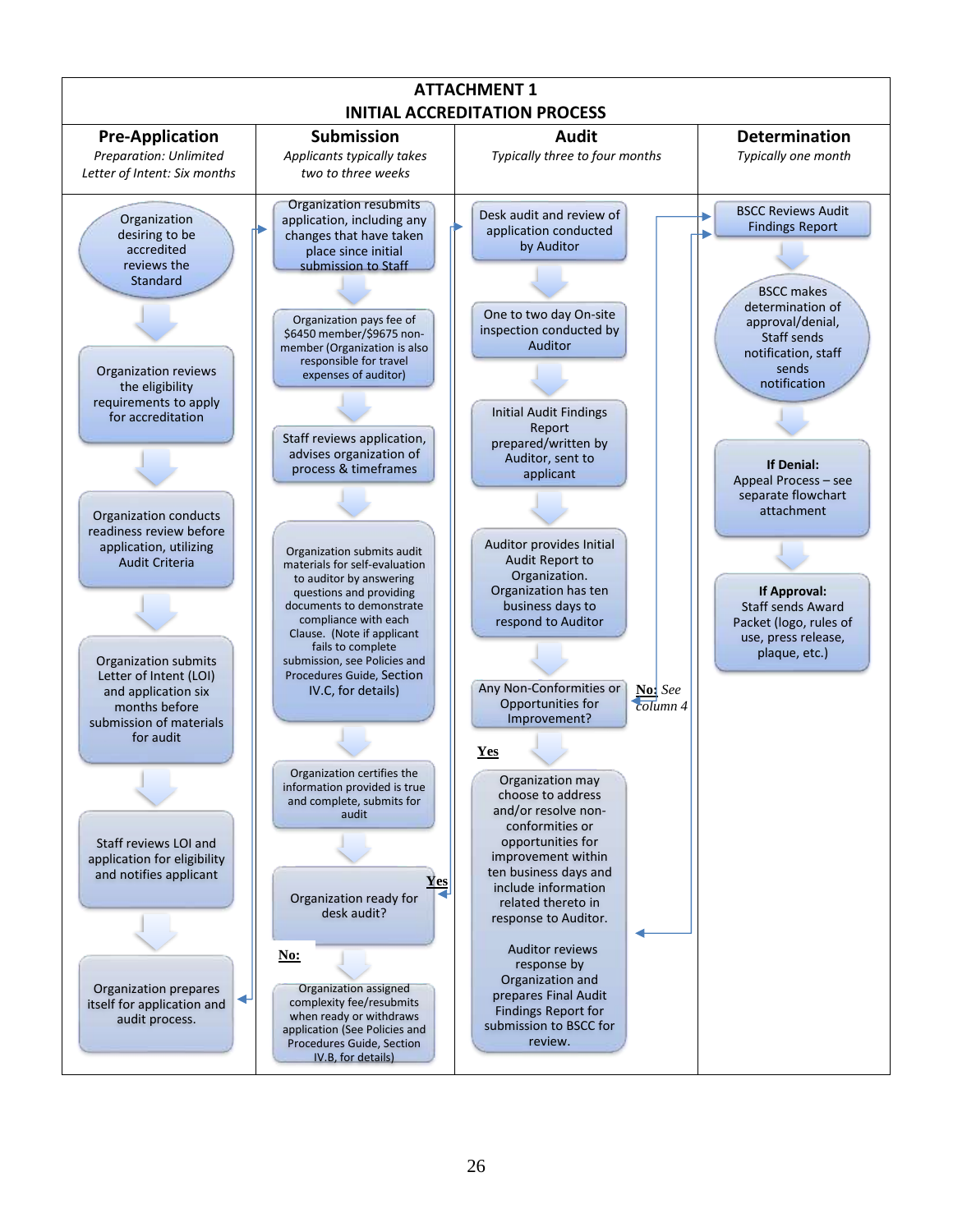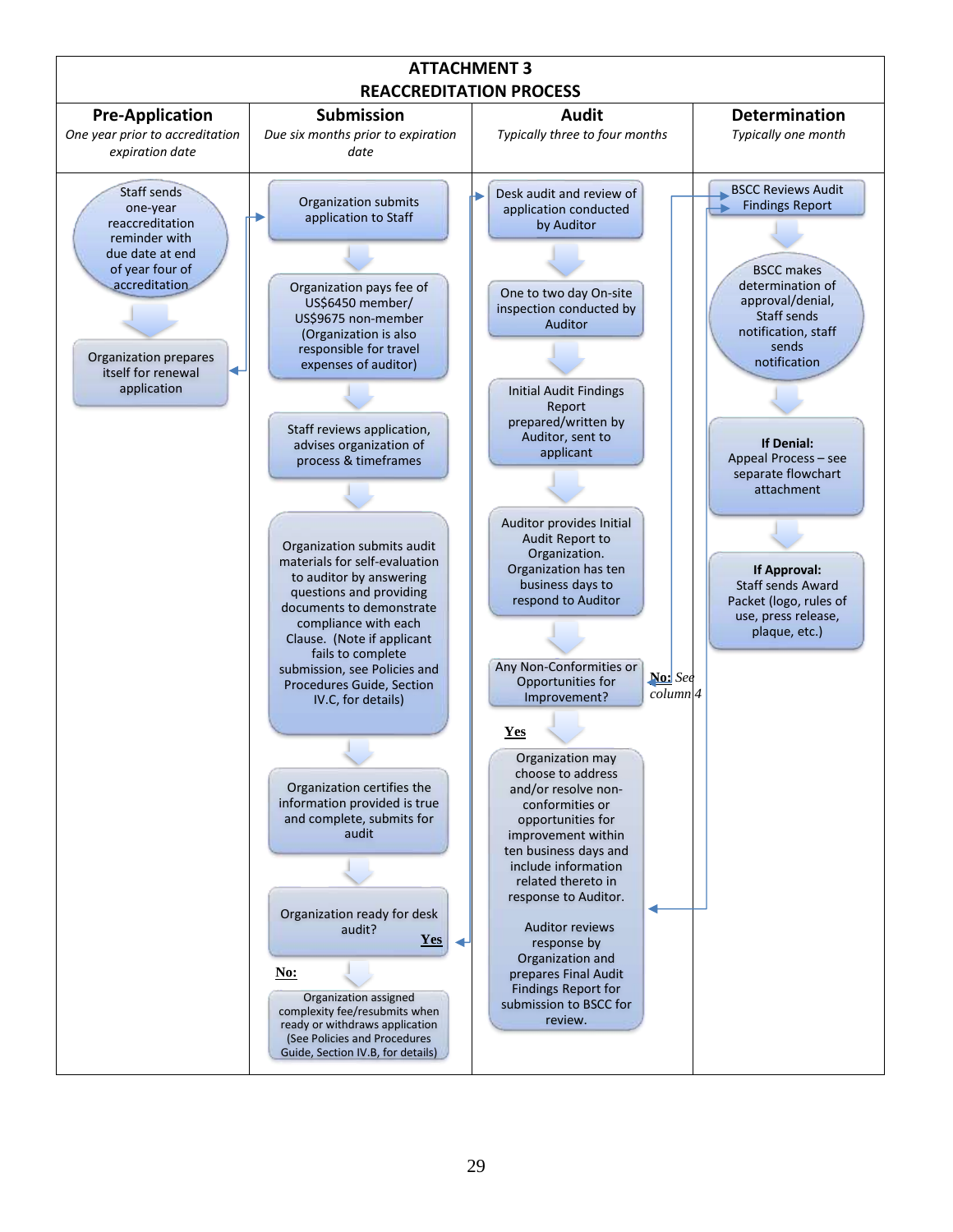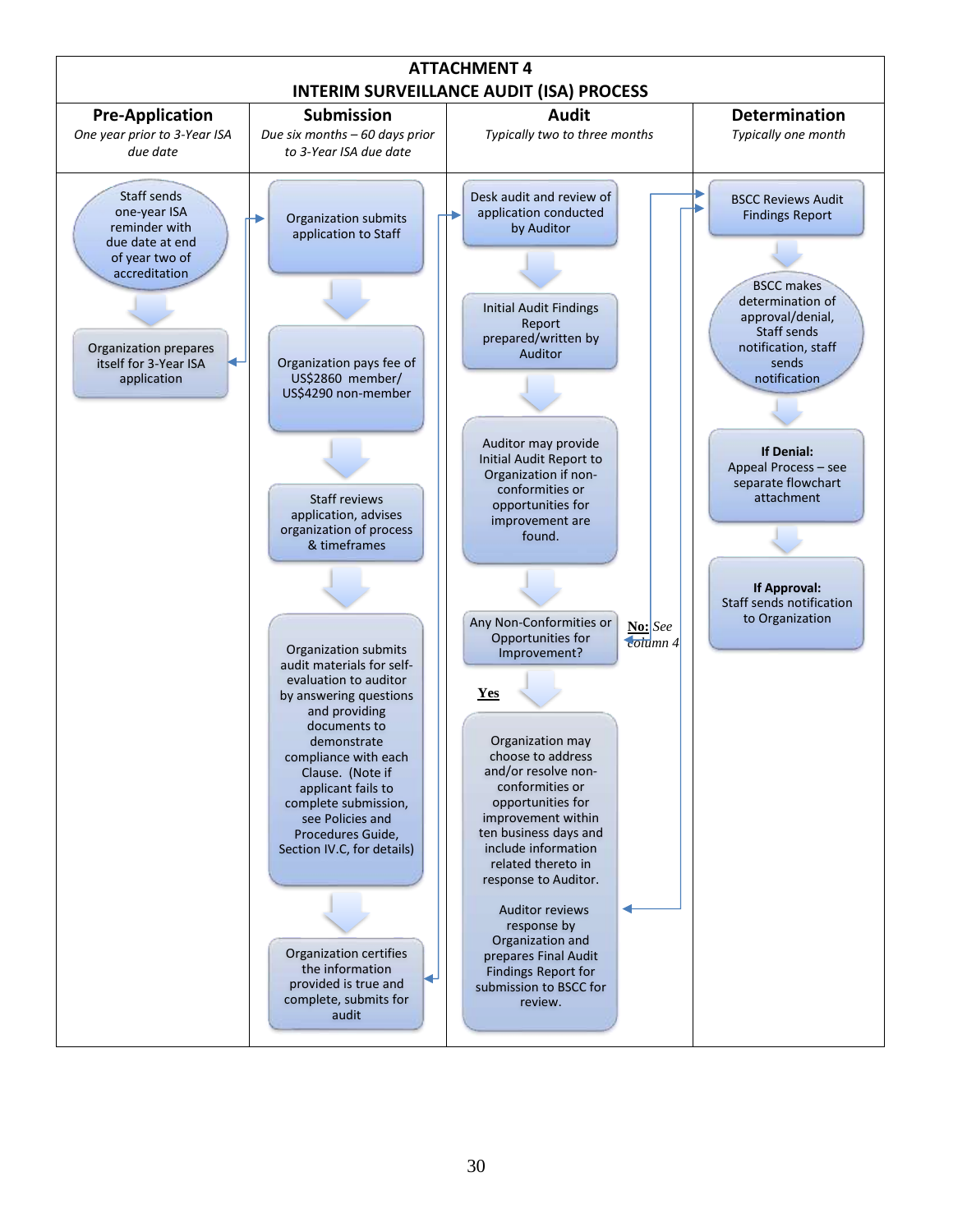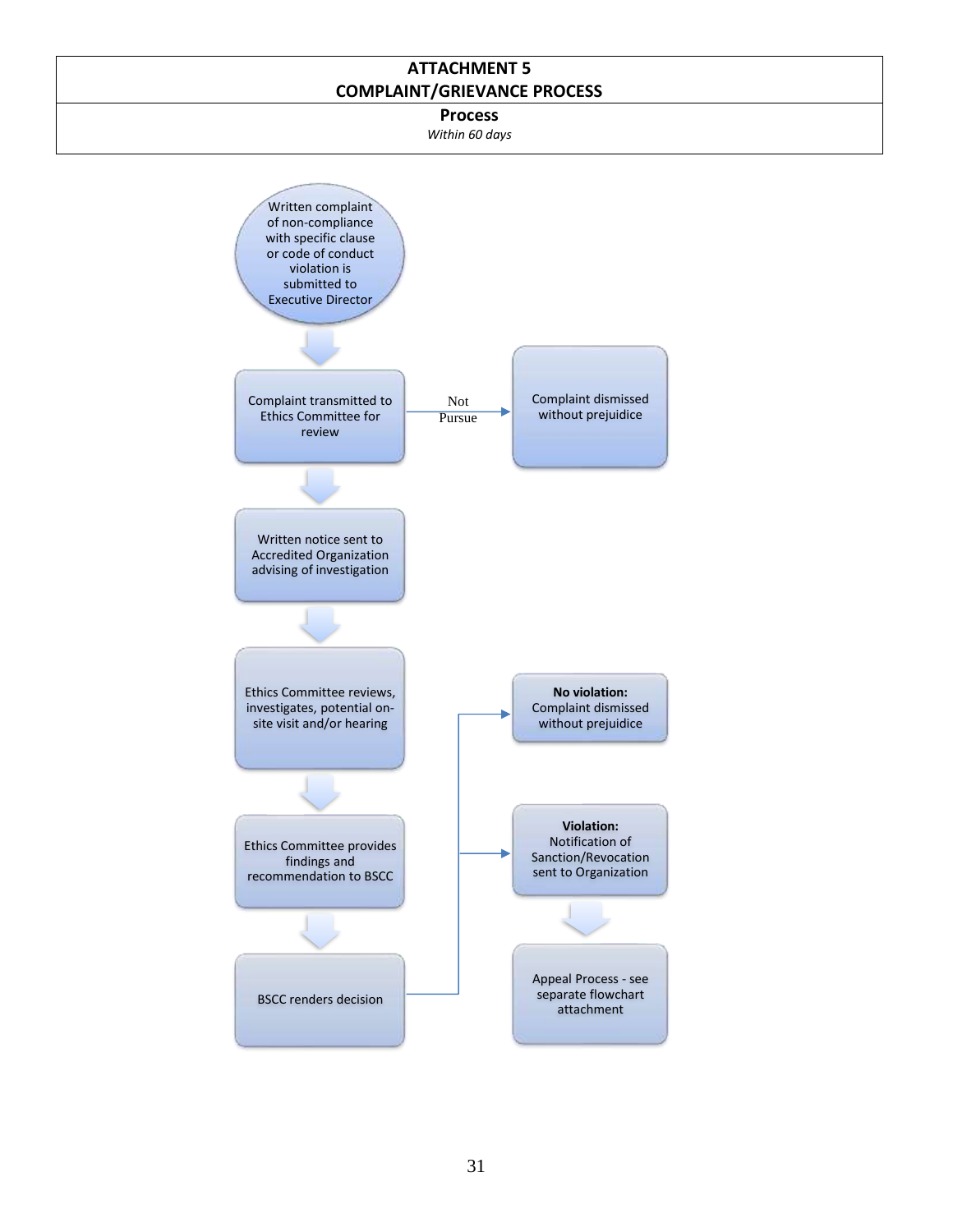## **ATTACHMENT 5 COMPLAINT/GRIEVANCE PROCESS**

**Process**

*Within 60 days*

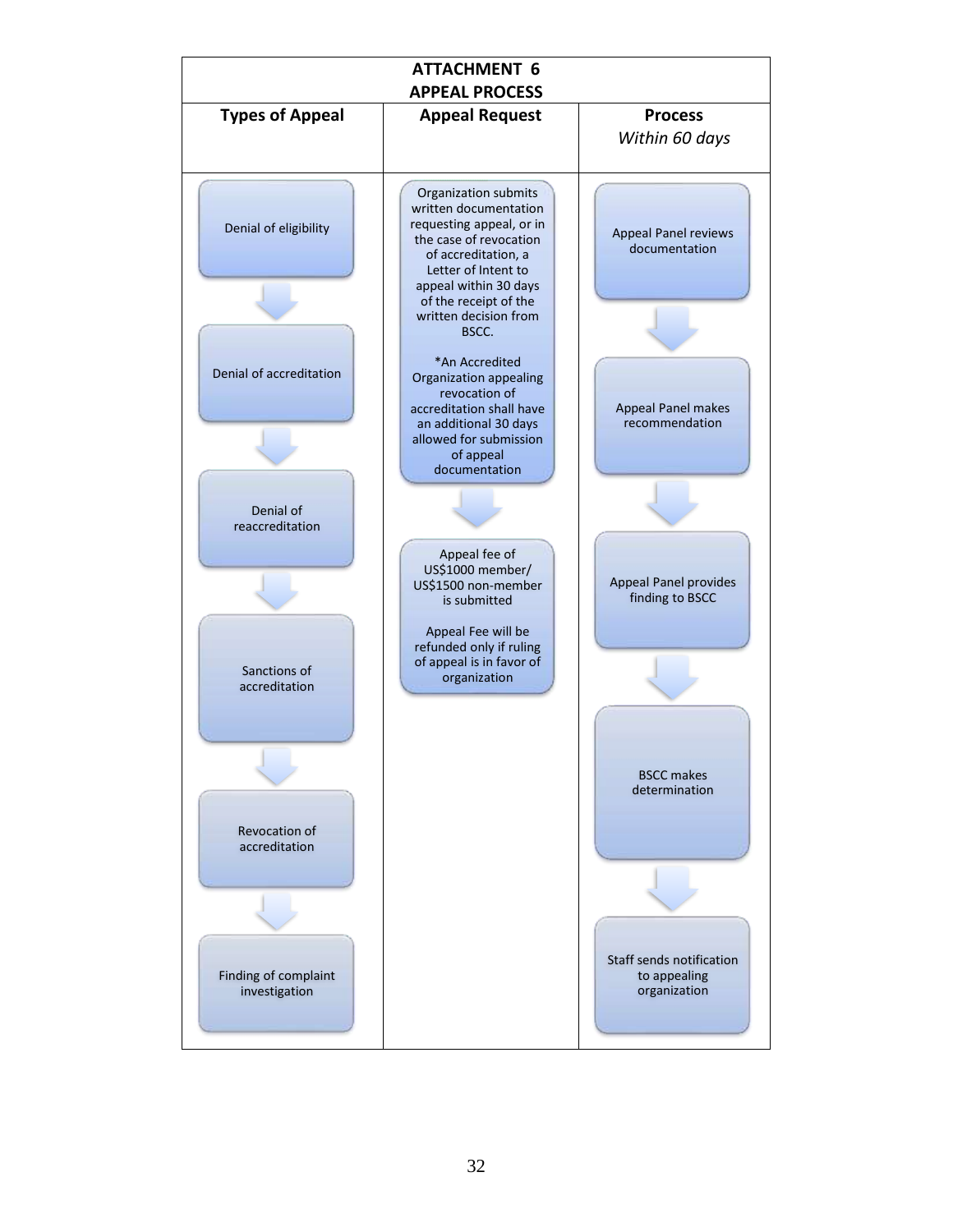| <b>ATTACHMENT 6</b><br><b>APPEAL PROCESS</b> |                                                                                                                                                                                                     |                                                          |
|----------------------------------------------|-----------------------------------------------------------------------------------------------------------------------------------------------------------------------------------------------------|----------------------------------------------------------|
| <b>Types of Appeal</b>                       | <b>Appeal Request</b>                                                                                                                                                                               | <b>Process</b><br>Within 60 days                         |
| Denial of eligibility                        | Organization submits<br>written documentation<br>requesting appeal, or in<br>the case of revocation<br>of accreditation, a<br>Letter of Intent to<br>appeal within 30 days<br>of the receipt of the | <b>Appeal Panel reviews</b><br>documentation             |
| Denial of accreditation                      | written decision from<br>BSCC.<br>*An Accredited<br>Organization appealing                                                                                                                          |                                                          |
|                                              | revocation of<br>accreditation shall have<br>an additional 30 days<br>allowed for submission<br>of appeal<br>documentation                                                                          | Appeal Panel makes<br>recommendation                     |
| Denial of<br>reaccreditation                 | Appeal fee of                                                                                                                                                                                       |                                                          |
|                                              | US\$1000 member/<br>US\$1500 non-member<br>is submitted<br>Appeal Fee will be                                                                                                                       | Appeal Panel provides<br>finding to BSCC                 |
| Sanctions of<br>accreditation                | refunded only if ruling<br>of appeal is in favor of<br>organization                                                                                                                                 |                                                          |
|                                              |                                                                                                                                                                                                     | <b>BSCC makes</b><br>determination                       |
| Revocation of<br>accreditation               |                                                                                                                                                                                                     |                                                          |
| Finding of complaint<br>investigation        |                                                                                                                                                                                                     | Staff sends notification<br>to appealing<br>organization |
|                                              |                                                                                                                                                                                                     |                                                          |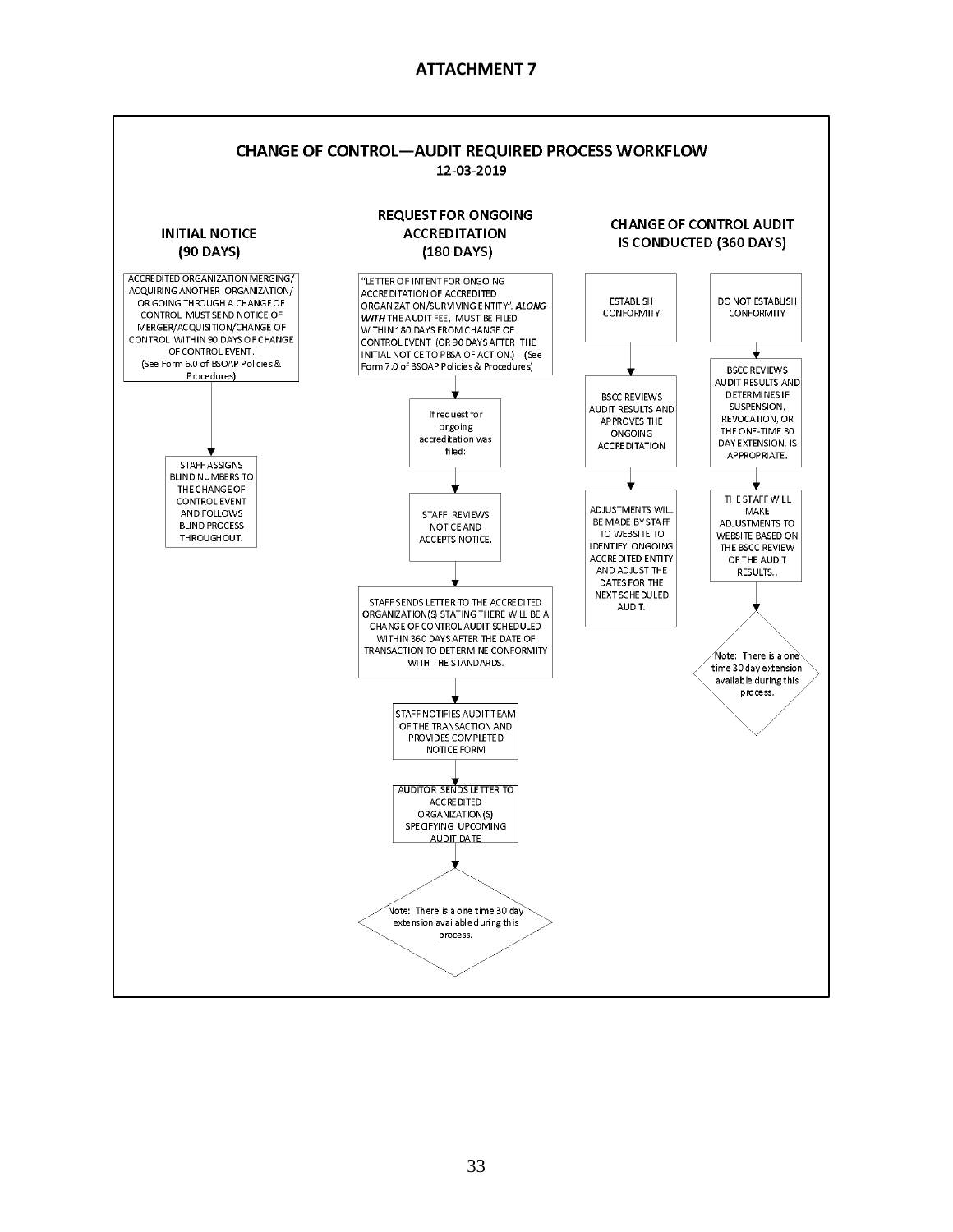## **ATTACHMENT 7**